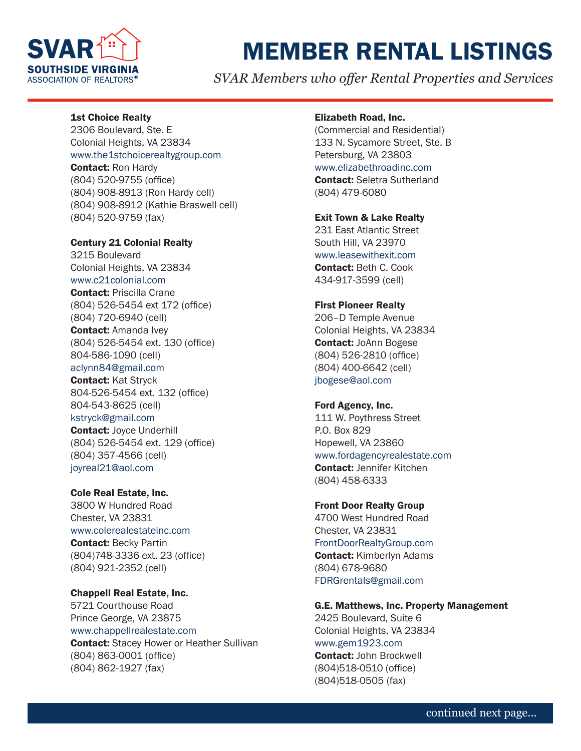

# MEMBER RENTAL LISTINGS

*SVAR Members who offer Rental Properties and Services*

#### 1st Choice Realty

2306 Boulevard, Ste. E Colonial Heights, VA 23834 www.the1stchoicerealtygroup.com

# Contact: Ron Hardy

(804) 520-9755 (office) (804) 908-8913 (Ron Hardy cell) (804) 908-8912 (Kathie Braswell cell) (804) 520-9759 (fax)

#### Century 21 Colonial Realty

3215 Boulevard Colonial Heights, VA 23834 www.c21colonial.com Contact: Priscilla Crane (804) 526-5454 ext 172 (office) (804) 720-6940 (cell) Contact: Amanda Ivey (804) 526-5454 ext. 130 (office) 804-586-1090 (cell) aclynn84@gmail.com Contact: Kat Stryck 804-526-5454 ext. 132 (office) 804-543-8625 (cell) kstryck@gmail.com

Contact: Joyce Underhill (804) 526-5454 ext. 129 (office) (804) 357-4566 (cell) joyreal21@aol.com

# Cole Real Estate, Inc. 3800 W Hundred Road

Chester, VA 23831 www.colerealestateinc.com Contact: Becky Partin (804)748-3336 ext. 23 (office)

(804) 921-2352 (cell) Chappell Real Estate, Inc. 5721 Courthouse Road Prince George, VA 23875 www.chappellrealestate.com **Contact:** Stacey Hower or Heather Sullivan (804) 863-0001 (office) (804) 862-1927 (fax)

#### Elizabeth Road, Inc.

(Commercial and Residential) 133 N. Sycamore Street, Ste. B Petersburg, VA 23803 www.elizabethroadinc.com Contact: Seletra Sutherland (804) 479-6080

#### Exit Town & Lake Realty

231 East Atlantic Street South Hill, VA 23970 www.leasewithexit.com Contact: Beth C. Cook 434-917-3599 (cell)

#### First Pioneer Realty

206–D Temple Avenue Colonial Heights, VA 23834 Contact: JoAnn Bogese (804) 526-2810 (office) (804) 400-6642 (cell) jbogese@aol.com

#### Ford Agency, Inc.

111 W. Poythress Street P.O. Box 829 Hopewell, VA 23860 www.fordagencyrealestate.com Contact: Jennifer Kitchen (804) 458-6333

#### Front Door Realty Group

4700 West Hundred Road Chester, VA 23831 FrontDoorRealtyGroup.com **Contact: Kimberlyn Adams** (804) 678-9680 FDRGrentals@gmail.com

#### G.E. Matthews, Inc. Property Management

2425 Boulevard, Suite 6 Colonial Heights, VA 23834 www.gem1923.com

**Contact: John Brockwell** (804)518-0510 (office) (804)518-0505 (fax)